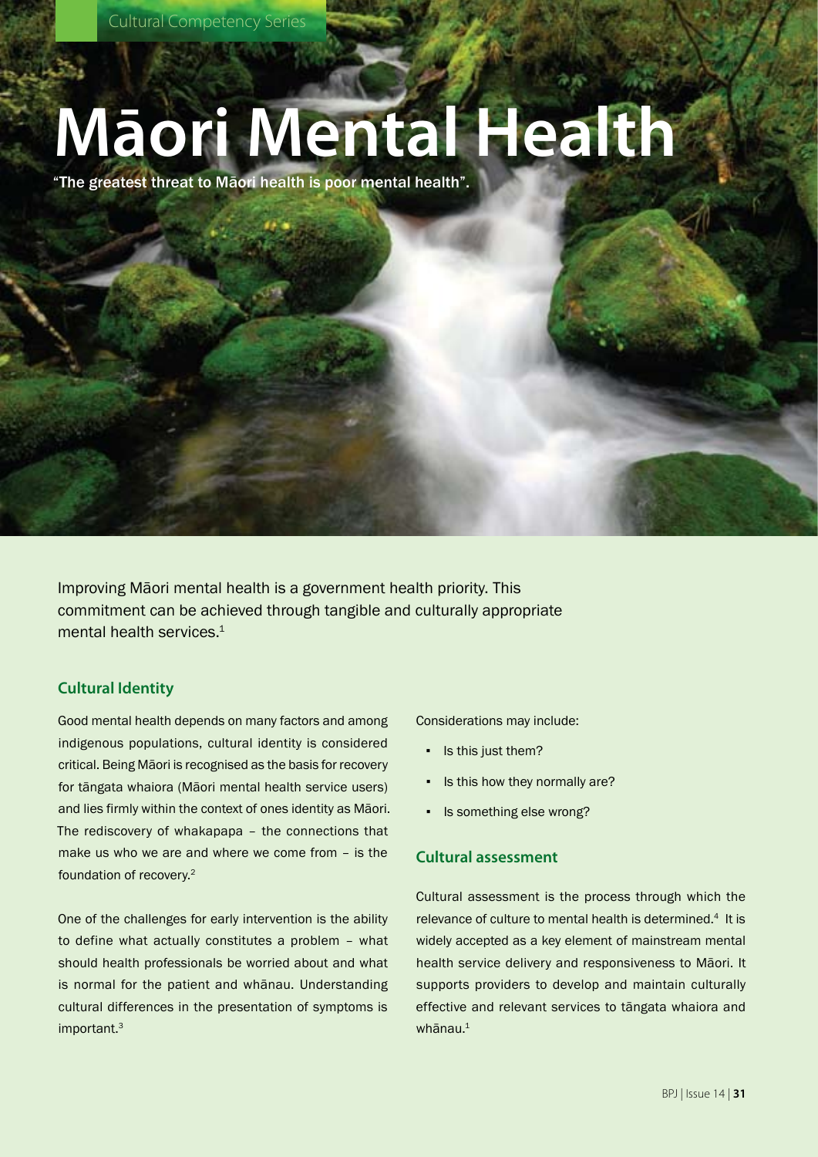# **Māori Mental Health**

"The greatest threat to Māori health is poor mental health".

Improving Māori mental health is a government health priority. This commitment can be achieved through tangible and culturally appropriate mental health services.<sup>1</sup>

# **Cultural Identity**

Good mental health depends on many factors and among indigenous populations, cultural identity is considered critical. Being Māori is recognised as the basis for recovery for tāngata whaiora (Māori mental health service users) and lies firmly within the context of ones identity as Māori. The rediscovery of whakapapa – the connections that make us who we are and where we come from – is the foundation of recovery.2

One of the challenges for early intervention is the ability to define what actually constitutes a problem – what should health professionals be worried about and what is normal for the patient and whānau. Understanding cultural differences in the presentation of symptoms is important.3

Considerations may include:

- Is this just them?
- Is this how they normally are?
- Is something else wrong?

# **Cultural assessment**

Cultural assessment is the process through which the relevance of culture to mental health is determined.<sup>4</sup> It is widely accepted as a key element of mainstream mental health service delivery and responsiveness to Māori. It supports providers to develop and maintain culturally effective and relevant services to tāngata whaiora and  $wh\bar{a}$ nau $<sup>1</sup>$ </sup>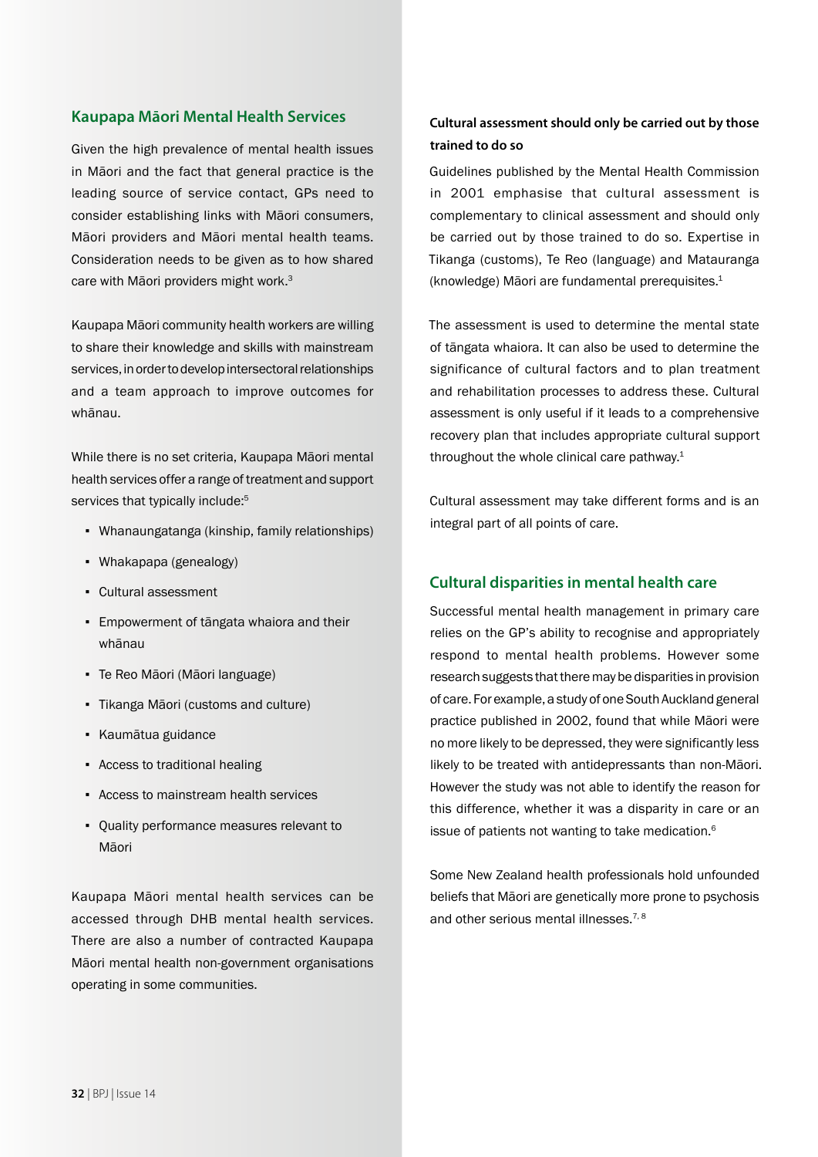## **Kaupapa Māori Mental Health Services**

Given the high prevalence of mental health issues in Māori and the fact that general practice is the leading source of service contact, GPs need to consider establishing links with Māori consumers, Māori providers and Māori mental health teams. Consideration needs to be given as to how shared care with Māori providers might work.<sup>3</sup>

Kaupapa Māori community health workers are willing to share their knowledge and skills with mainstream services, in order to develop intersectoral relationships and a team approach to improve outcomes for whānau.

While there is no set criteria, Kaupapa Māori mental health services offer a range of treatment and support services that typically include:<sup>5</sup>

- Whanaungatanga (kinship, family relationships)
- Whakapapa (genealogy)
- Cultural assessment
- Empowerment of tāngata whaiora and their whānau
- Te Reo Māori (Māori language)
- Tikanga Māori (customs and culture)
- Kaumātua guidance
- Access to traditional healing
- Access to mainstream health services
- Quality performance measures relevant to Māori

Kaupapa Māori mental health services can be accessed through DHB mental health services. There are also a number of contracted Kaupapa Māori mental health non-government organisations operating in some communities.

# **Cultural assessment should only be carried out by those trained to do so**

Guidelines published by the Mental Health Commission in 2001 emphasise that cultural assessment is complementary to clinical assessment and should only be carried out by those trained to do so. Expertise in Tikanga (customs), Te Reo (language) and Matauranga (knowledge) Māori are fundamental prerequisites. $1$ 

The assessment is used to determine the mental state of tāngata whaiora. It can also be used to determine the significance of cultural factors and to plan treatment and rehabilitation processes to address these. Cultural assessment is only useful if it leads to a comprehensive recovery plan that includes appropriate cultural support throughout the whole clinical care pathway.<sup>1</sup>

Cultural assessment may take different forms and is an integral part of all points of care.

## **Cultural disparities in mental health care**

Successful mental health management in primary care relies on the GP's ability to recognise and appropriately respond to mental health problems. However some research suggests that there may be disparities in provision of care. For example, a study of one South Auckland general practice published in 2002, found that while Māori were no more likely to be depressed, they were significantly less likely to be treated with antidepressants than non-Māori. However the study was not able to identify the reason for this difference, whether it was a disparity in care or an issue of patients not wanting to take medication.6

Some New Zealand health professionals hold unfounded beliefs that Māori are genetically more prone to psychosis and other serious mental illnesses.<sup>7,8</sup>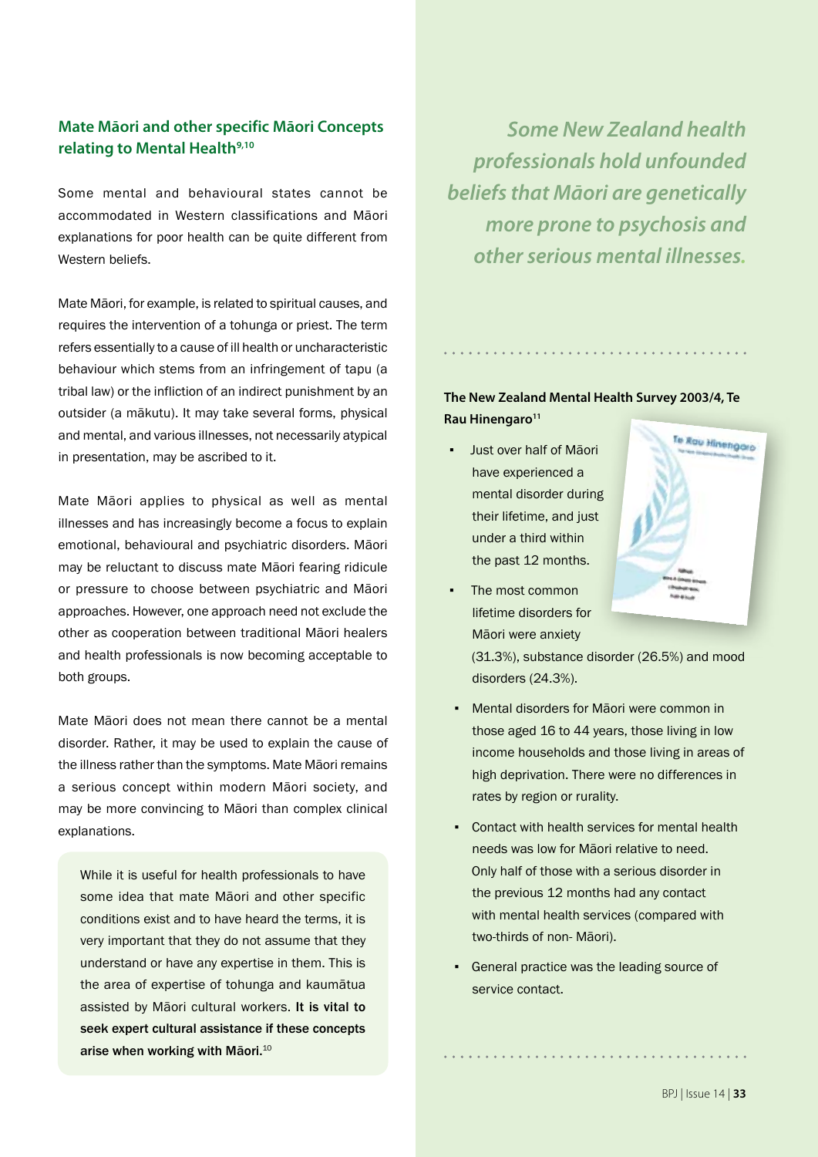# **Mate Māori and other specific Māori Concepts**  relating to Mental Health<sup>9,10</sup>

Some mental and behavioural states cannot be accommodated in Western classifications and Māori explanations for poor health can be quite different from Western beliefs.

Mate Māori, for example, is related to spiritual causes, and requires the intervention of a tohunga or priest. The term refers essentially to a cause of ill health or uncharacteristic behaviour which stems from an infringement of tapu (a tribal law) or the infliction of an indirect punishment by an outsider (a mākutu). It may take several forms, physical and mental, and various illnesses, not necessarily atypical in presentation, may be ascribed to it.

Mate Māori applies to physical as well as mental illnesses and has increasingly become a focus to explain emotional, behavioural and psychiatric disorders. Māori may be reluctant to discuss mate Māori fearing ridicule or pressure to choose between psychiatric and Māori approaches. However, one approach need not exclude the other as cooperation between traditional Māori healers and health professionals is now becoming acceptable to both groups.

Mate Māori does not mean there cannot be a mental disorder. Rather, it may be used to explain the cause of the illness rather than the symptoms. Mate Māori remains a serious concept within modern Māori society, and may be more convincing to Māori than complex clinical explanations.

While it is useful for health professionals to have some idea that mate Māori and other specific conditions exist and to have heard the terms, it is very important that they do not assume that they understand or have any expertise in them. This is the area of expertise of tohunga and kaumātua assisted by Māori cultural workers. It is vital to seek expert cultural assistance if these concepts arise when working with Māori.<sup>10</sup>

*Some New Zealand health professionals hold unfounded beliefs that Māori are genetically more prone to psychosis and other serious mental illnesses.*

# **The New Zealand Mental Health Survey 2003/4, Te Rau Hinengaro<sup>11</sup>**

- Just over half of Māori have experienced a mental disorder during their lifetime, and just under a third within the past 12 months.
- The most common lifetime disorders for Māori were anxiety



(31.3%), substance disorder (26.5%) and mood disorders (24.3%).

- Mental disorders for Māori were common in those aged 16 to 44 years, those living in low income households and those living in areas of high deprivation. There were no differences in rates by region or rurality.
- Contact with health services for mental health needs was low for Māori relative to need. Only half of those with a serious disorder in the previous 12 months had any contact with mental health services (compared with two-thirds of non- Māori).
- General practice was the leading source of service contact.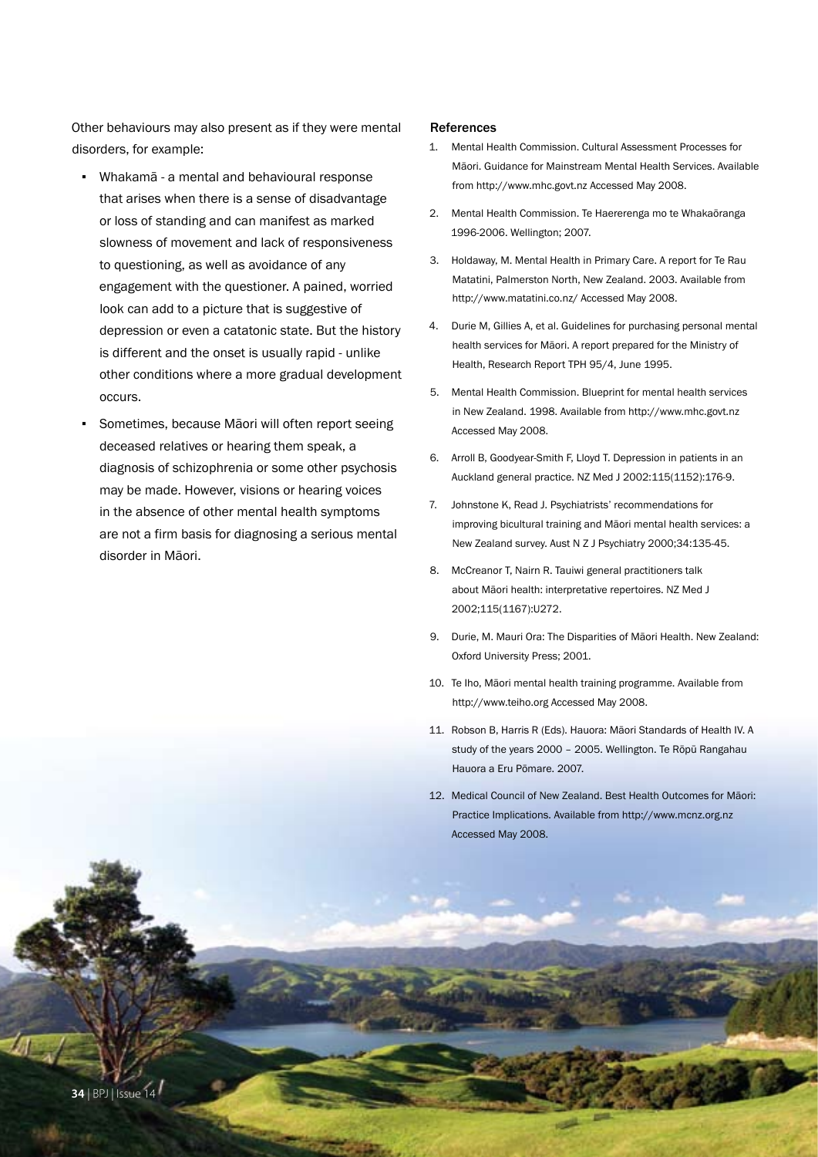Other behaviours may also present as if they were mental disorders, for example:

- Whakamā a mental and behavioural response that arises when there is a sense of disadvantage or loss of standing and can manifest as marked slowness of movement and lack of responsiveness to questioning, as well as avoidance of any engagement with the questioner. A pained, worried look can add to a picture that is suggestive of depression or even a catatonic state. But the history is different and the onset is usually rapid - unlike other conditions where a more gradual development occurs.
- Sometimes, because Māori will often report seeing deceased relatives or hearing them speak, a diagnosis of schizophrenia or some other psychosis may be made. However, visions or hearing voices in the absence of other mental health symptoms are not a firm basis for diagnosing a serious mental disorder in Māori.

#### References

- 1. Mental Health Commission. Cultural Assessment Processes for Māori. Guidance for Mainstream Mental Health Services. Available from http://www.mhc.govt.nz Accessed May 2008.
- 2. Mental Health Commission. Te Haererenga mo te Whakaōranga 1996-2006. Wellington; 2007.
- 3. Holdaway, M. Mental Health in Primary Care. A report for Te Rau Matatini, Palmerston North, New Zealand. 2003. Available from http://www.matatini.co.nz/ Accessed May 2008.
- 4. Durie M, Gillies A, et al. Guidelines for purchasing personal mental health services for Māori. A report prepared for the Ministry of Health, Research Report TPH 95/4, June 1995.
- 5. Mental Health Commission. Blueprint for mental health services in New Zealand. 1998. Available from http://www.mhc.govt.nz Accessed May 2008.
- 6. Arroll B, Goodyear-Smith F, Lloyd T. Depression in patients in an Auckland general practice. NZ Med J 2002:115(1152):176-9.
- 7. Johnstone K, Read J. Psychiatrists' recommendations for improving bicultural training and Māori mental health services: a New Zealand survey. Aust N Z J Psychiatry 2000;34:135-45.
- 8. McCreanor T, Nairn R. Tauiwi general practitioners talk about Māori health: interpretative repertoires. NZ Med J 2002;115(1167):U272.
- 9. Durie, M. Mauri Ora: The Disparities of Māori Health. New Zealand: Oxford University Press; 2001.
- 10. Te Iho, Māori mental health training programme. Available from http://www.teiho.org Accessed May 2008.
- 11. Robson B, Harris R (Eds). Hauora: Māori Standards of Health IV. A study of the years 2000 – 2005. Wellington. Te Rōpū Rangahau Hauora a Eru Pōmare. 2007.
- 12. Medical Council of New Zealand. Best Health Outcomes for Māori: Practice Implications. Available from http://www.mcnz.org.nz Accessed May 2008.